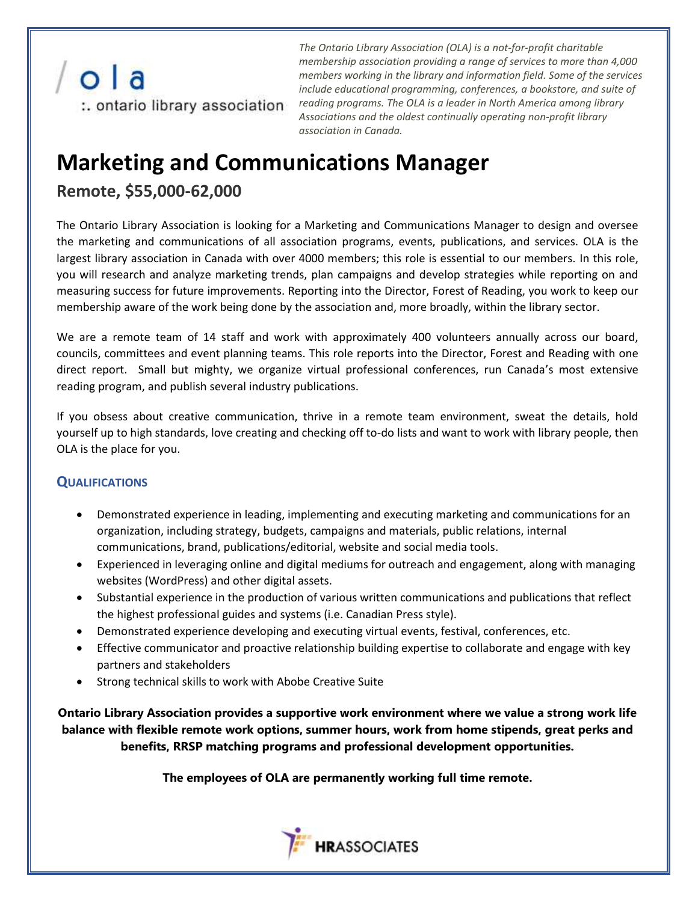

*The Ontario Library Association (OLA) is a not-for-profit charitable membership association providing a range of services to more than 4,000 members working in the library and information field. Some of the services include educational programming, conferences, a bookstore, and suite of*  :. **ontario library association** reading programs. The OLA is a leader in North America among library *Associations and the oldest continually operating non-profit library association in Canada.*

## **Marketing and Communications Manager**

## **Remote, \$55,000-62,000**

The Ontario Library Association is looking for a Marketing and Communications Manager to design and oversee the marketing and communications of all association programs, events, publications, and services. OLA is the largest library association in Canada with over 4000 members; this role is essential to our members. In this role, you will research and analyze marketing trends, plan campaigns and develop strategies while reporting on and measuring success for future improvements. Reporting into the Director, Forest of Reading, you work to keep our membership aware of the work being done by the association and, more broadly, within the library sector.

We are a remote team of 14 staff and work with approximately 400 volunteers annually across our board, councils, committees and event planning teams. This role reports into the Director, Forest and Reading with one direct report. Small but mighty, we organize virtual professional conferences, run Canada's most extensive reading program, and publish several industry publications.

If you obsess about creative communication, thrive in a remote team environment, sweat the details, hold yourself up to high standards, love creating and checking off to-do lists and want to work with library people, then OLA is the place for you.

## **QUALIFICATIONS**

- Demonstrated experience in leading, implementing and executing marketing and communications for an organization, including strategy, budgets, campaigns and materials, public relations, internal communications, brand, publications/editorial, website and social media tools.
- Experienced in leveraging online and digital mediums for outreach and engagement, along with managing websites (WordPress) and other digital assets.
- Substantial experience in the production of various written communications and publications that reflect the highest professional guides and systems (i.e. Canadian Press style).
- Demonstrated experience developing and executing virtual events, festival, conferences, etc.
- Effective communicator and proactive relationship building expertise to collaborate and engage with key partners and stakeholders
- Strong technical skills to work with Abobe Creative Suite

**Ontario Library Association provides a supportive work environment where we value a strong work life balance with flexible remote work options, summer hours, work from home stipends, great perks and benefits, RRSP matching programs and professional development opportunities.** 

**The employees of OLA are permanently working full time remote.**